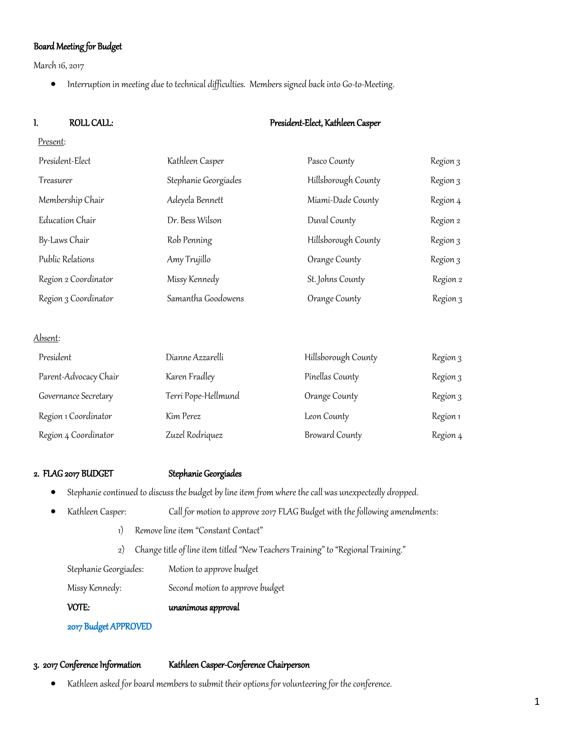# Board Meeting for Budget

March 16, 2017

• Interruption in meeting due to technical difficulties. Members signed back into Go-to-Meeting.

## I. ROLL CALL: President-Elect, Kathleen Casper

| President-Elect      | Kathleen Casper      | Pasco County        | Region 3 |
|----------------------|----------------------|---------------------|----------|
| Treasurer            | Stephanie Georgiades | Hillsborough County | Region 3 |
| Membership Chair     | Adeyela Bennett      | Miami-Dade County   | Region 4 |
| Education Chair      | Dr. Bess Wilson      | Duval County        | Region 2 |
| By-Laws Chair        | Rob Penning          | Hillsborough County | Region 3 |
| Public Relations     | Amy Trujillo         | Orange County       | Region 3 |
| Region 2 Coordinator | Missy Kennedy        | St. Johns County    | Region 2 |
| Region 3 Coordinator | Samantha Goodowens   | Orange County       | Region 3 |

Absent:

| President             | Dianne Azzarelli    | Hillsborough County   | Region 3 |
|-----------------------|---------------------|-----------------------|----------|
| Parent-Advocacy Chair | Karen Fradley       | Pinellas County       | Region 3 |
| Governance Secretary  | Terri Pope-Hellmund | Orange County         | Region 3 |
| Region 1 Coordinator  | Kim Perez           | Leon County           | Region 1 |
| Region 4 Coordinator  | Zuzel Rodriquez     | <b>Broward County</b> | Region 4 |

## 2. FLAG 2017 BUDGET Stephanie Georgiades

• Stephanie continued to discuss the budget by line item from where the call was unexpectedly dropped.

| Kathleen Casper:      | Call for motion to approve 2017 FLAG Budget with the following amendments:       |  |
|-----------------------|----------------------------------------------------------------------------------|--|
| 1)                    | Remove line item "Constant Contact"                                              |  |
| 2)                    | Change title of line item titled "New Teachers Training" to "Regional Training." |  |
| Stephanie Georgiades: | Motion to approve budget                                                         |  |
| Missy Kennedy:        | Second motion to approve budget                                                  |  |
| VOTE:                 | unanimous approval                                                               |  |
| 2017 Budget APPROVED  |                                                                                  |  |

## 3. 2017 Conference Information Kathleen Casper-Conference Chairperson

• Kathleen asked for board members to submit their options for volunteering for the conference.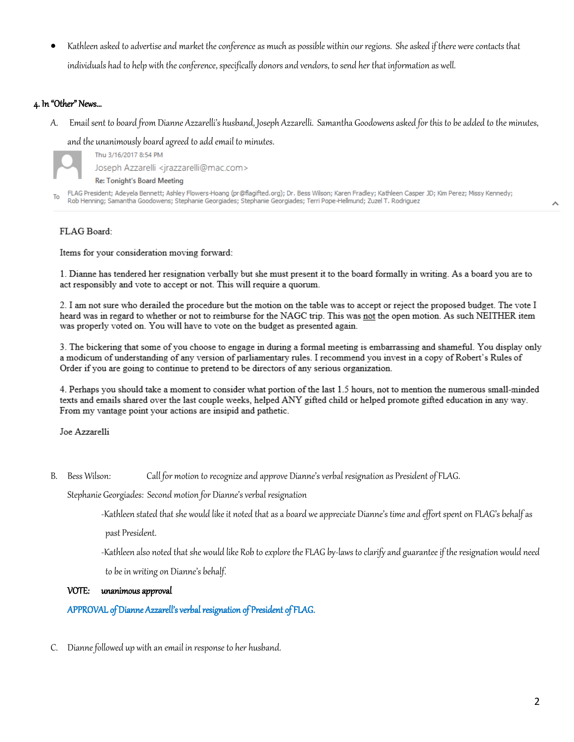• Kathleen asked to advertise and market the conference as much as possible within our regions. She asked if there were contacts that individuals had to help with the conference, specifically donors and vendors, to send her that information as well.

### 4. In "Other" News…

A. Email sent to board from Dianne Azzarelli's husband, Joseph Azzarelli. Samantha Goodowens asked for this to be added to the minutes,

and the unanimously board agreed to add email to minutes.

Thu 3/16/2017 8:54 PM Joseph Azzarelli <jrazzarelli@mac.com>

**Re: Tonight's Board Meeting** 

FLAG President; Adeyela Bennett; Ashley Flowers-Hoang (pr@flagifted.org); Dr. Bess Wilson; Karen Fradley; Kathleen Casper JD; Kim Perez; Missy Kennedy; To Rob Henning; Samantha Goodowens; Stephanie Georgiades; Stephanie Georgiades; Terri Pope-Hellmund; Zuzel T. Rodriguez

### FLAG Board:

Items for your consideration moving forward:

1. Dianne has tendered her resignation verbally but she must present it to the board formally in writing. As a board you are to act responsibly and vote to accept or not. This will require a quorum.

2. I am not sure who derailed the procedure but the motion on the table was to accept or reject the proposed budget. The vote I heard was in regard to whether or not to reimburse for the NAGC trip. This was not the open motion. As such NEITHER item was properly voted on. You will have to vote on the budget as presented again.

3. The bickering that some of you choose to engage in during a formal meeting is embarrassing and shameful. You display only a modicum of understanding of any version of parliamentary rules. I recommend you invest in a copy of Robert's Rules of Order if you are going to continue to pretend to be directors of any serious organization.

4. Perhaps you should take a moment to consider what portion of the last 1.5 hours, not to mention the numerous small-minded texts and emails shared over the last couple weeks, helped ANY gifted child or helped promote gifted education in any way. From my vantage point your actions are insipid and pathetic.

Joe Azzarelli

B. Bess Wilson: Call for motion to recognize and approve Dianne's verbal resignation as President of FLAG.

Stephanie Georgiades: Second motion for Dianne's verbal resignation

-Kathleen stated that she would like it noted that as a board we appreciate Dianne's time and effort spent on FLAG's behalf as

past President.

-Kathleen also noted that she would like Rob to explore the FLAG by-laws to clarify and guarantee if the resignation would need

to be in writing on Dianne's behalf.

#### VOTE: unanimous approval

APPROVAL of Dianne Azzarell's verbal resignation of President of FLAG.

C. Dianne followed up with an email in response to her husband.